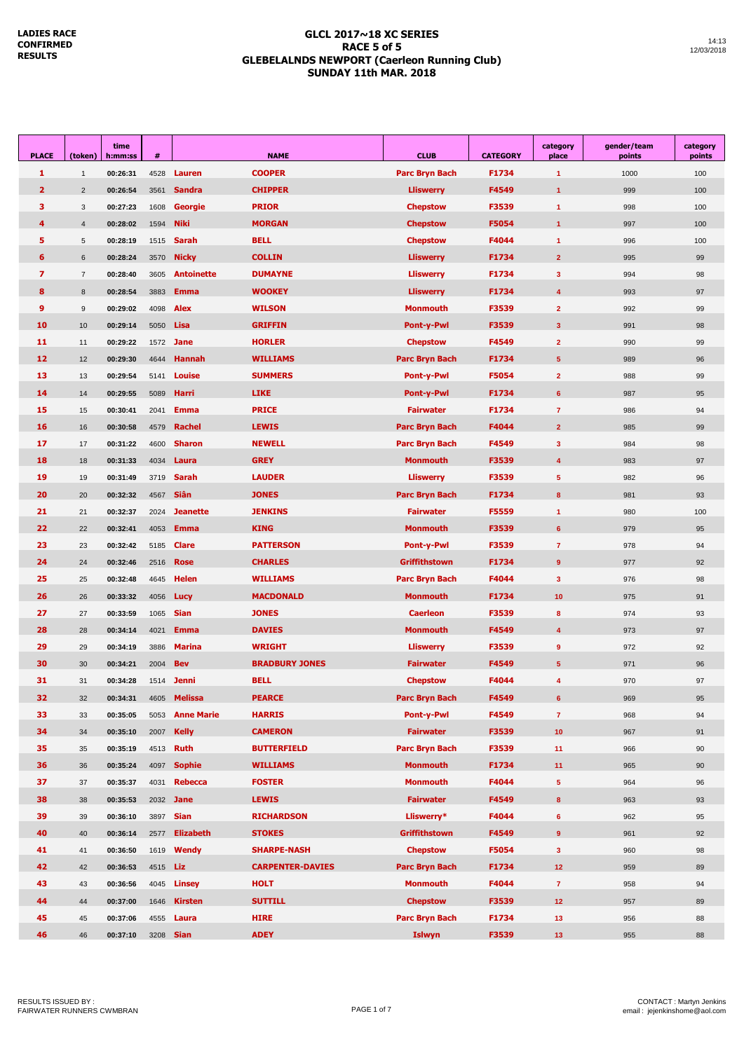#### **GLCL 2017~18 XC SERIES RACE 5 of 5 GLEBELALNDS NEWPORT (Caerleon Running Club) SUNDAY 11th MAR. 2018**

| <b>PLACE</b>   | (token)        | time<br>h:mm:ss | #                |                   | <b>NAME</b>             | <b>CLUB</b>           | <b>CATEGORY</b> | category<br>place       | gender/team<br>points | category<br>points |
|----------------|----------------|-----------------|------------------|-------------------|-------------------------|-----------------------|-----------------|-------------------------|-----------------------|--------------------|
| 1              | $\mathbf{1}$   | 00:26:31        | 4528             | Lauren            | <b>COOPER</b>           | <b>Parc Bryn Bach</b> | F1734           | $\overline{1}$          | 1000                  | 100                |
| $\overline{2}$ | $\overline{2}$ | 00:26:54        | 3561             | <b>Sandra</b>     | <b>CHIPPER</b>          | <b>Lliswerry</b>      | F4549           | $\overline{1}$          | 999                   | 100                |
| з              | 3              | 00:27:23        | 1608             | <b>Georgie</b>    | <b>PRIOR</b>            | <b>Chepstow</b>       | F3539           | $\mathbf{1}$            | 998                   | 100                |
| 4              | 4              | 00:28:02        | 1594             | <b>Niki</b>       | <b>MORGAN</b>           | <b>Chepstow</b>       | F5054           | $\mathbf{1}$            | 997                   | 100                |
| 5              | 5              | 00:28:19        | 1515             | <b>Sarah</b>      | <b>BELL</b>             | <b>Chepstow</b>       | F4044           | $\mathbf{1}$            | 996                   | 100                |
| 6              | 6              | 00:28:24        | 3570             | <b>Nicky</b>      | <b>COLLIN</b>           | <b>Lliswerry</b>      | F1734           | $\overline{2}$          | 995                   | 99                 |
| 7              | $\overline{7}$ | 00:28:40        | 3605             | <b>Antoinette</b> | <b>DUMAYNE</b>          | <b>Lliswerry</b>      | F1734           | $\mathbf{3}$            | 994                   | 98                 |
| 8              | 8              | 00:28:54        | 3883             | <b>Emma</b>       | <b>WOOKEY</b>           | <b>Lliswerry</b>      | F1734           | $\overline{4}$          | 993                   | 97                 |
| 9              | 9              | 00:29:02        | 4098             | <b>Alex</b>       | <b>WILSON</b>           | <b>Monmouth</b>       | F3539           | $\overline{2}$          | 992                   | 99                 |
| 10             | 10             | 00:29:14        | 5050             | Lisa              | <b>GRIFFIN</b>          | <b>Pont-y-Pwl</b>     | F3539           | $\overline{\mathbf{3}}$ | 991                   | 98                 |
| 11             | 11             | 00:29:22        |                  | 1572 <b>Jane</b>  | <b>HORLER</b>           | <b>Chepstow</b>       | F4549           | $\overline{2}$          | 990                   | 99                 |
| 12             | 12             | 00:29:30        | 4644             | <b>Hannah</b>     | <b>WILLIAMS</b>         | <b>Parc Bryn Bach</b> | F1734           | $5\phantom{.0}$         | 989                   | 96                 |
| 13             | 13             | 00:29:54        | 5141             | <b>Louise</b>     | <b>SUMMERS</b>          | <b>Pont-y-Pwl</b>     | F5054           | $\overline{2}$          | 988                   | 99                 |
| 14             | 14             | 00:29:55        | 5089             | Harri             | <b>LIKE</b>             | <b>Pont-y-Pwl</b>     | F1734           | $6\phantom{1}$          | 987                   | 95                 |
| 15             | 15             | 00:30:41        | 2041             | <b>Emma</b>       | <b>PRICE</b>            | <b>Fairwater</b>      | F1734           | $\overline{7}$          | 986                   | 94                 |
| 16             | 16             | 00:30:58        | 4579             | <b>Rachel</b>     | <b>LEWIS</b>            | Parc Bryn Bach        | F4044           | $\overline{2}$          | 985                   | 99                 |
| 17             | 17             | 00:31:22        | 4600             | <b>Sharon</b>     | <b>NEWELL</b>           | Parc Bryn Bach        | F4549           | $\mathbf{3}$            | 984                   | 98                 |
| 18             | 18             | 00:31:33        | 4034             | Laura             | <b>GREY</b>             | Monmouth              | F3539           | 4                       | 983                   | 97                 |
| 19             | 19             | 00:31:49        | 3719             | <b>Sarah</b>      | <b>LAUDER</b>           | <b>Lliswerry</b>      | F3539           | $5\phantom{.0}$         | 982                   | 96                 |
| 20             | 20             | 00:32:32        | 4567             | <b>Siân</b>       | <b>JONES</b>            | <b>Parc Bryn Bach</b> | F1734           | $\bf{8}$                | 981                   | 93                 |
| 21             | 21             | 00:32:37        | 2024             | <b>Jeanette</b>   | <b>JENKINS</b>          | <b>Fairwater</b>      | F5559           | $\overline{1}$          | 980                   | 100                |
| 22             | 22             | 00:32:41        | 4053             | <b>Emma</b>       | <b>KING</b>             | <b>Monmouth</b>       | F3539           | 6                       | 979                   | 95                 |
| 23             | 23             | 00:32:42        | 5185             | <b>Clare</b>      | <b>PATTERSON</b>        | <b>Pont-y-Pwl</b>     | F3539           | $\overline{7}$          | 978                   | 94                 |
| 24             | 24             | 00:32:46        | 2516             | <b>Rose</b>       | <b>CHARLES</b>          | <b>Griffithstown</b>  | F1734           | 9                       | 977                   | 92                 |
| 25             | 25             | 00:32:48        | 4645             | <b>Helen</b>      | <b>WILLIAMS</b>         | Parc Bryn Bach        | F4044           | $\mathbf{3}$            | 976                   | 98                 |
| 26             | 26             | 00:33:32        | 4056             | Lucy              | <b>MACDONALD</b>        | Monmouth              | F1734           | 10                      | 975                   | 91                 |
| 27             | 27             | 00:33:59        | 1065             | <b>Sian</b>       | <b>JONES</b>            | <b>Caerleon</b>       | F3539           | 8                       | 974                   | 93                 |
| 28             | 28             | 00:34:14        | 4021             | <b>Emma</b>       | <b>DAVIES</b>           | Monmouth              | F4549           | $\overline{4}$          | 973                   | 97                 |
| 29             | 29             | 00:34:19        | 3886             | <b>Marina</b>     | <b>WRIGHT</b>           | <b>Lliswerry</b>      | F3539           | 9                       | 972                   | 92                 |
| 30             | 30             | 00:34:21        | 2004             | <b>Bev</b>        | <b>BRADBURY JONES</b>   | <b>Fairwater</b>      | F4549           | 5                       | 971                   | 96                 |
| 31             | 31             | 00:34:28        |                  | 1514 <b>Jenni</b> | <b>BELL</b>             | <b>Chepstow</b>       | F4044           | 4                       | 970                   | 97                 |
| 32             | 32             | 00:34:31        | 4605             | <b>Melissa</b>    | <b>PEARCE</b>           | <b>Parc Bryn Bach</b> | F4549           | 6                       | 969                   | 95                 |
| 33             | 33             | 00:35:05        | 5053             | <b>Anne Marie</b> | <b>HARRIS</b>           | Pont-y-Pwl            | F4549           | $\overline{7}$          | 968                   | 94                 |
| 34             | 34             | 00:35:10        | 2007             | <b>Kelly</b>      | <b>CAMERON</b>          | <b>Fairwater</b>      | F3539           | 10 <sub>1</sub>         | 967                   | 91                 |
| 35             | 35             | 00:35:19        | 4513             | <b>Ruth</b>       | <b>BUTTERFIELD</b>      | Parc Bryn Bach        | F3539           | 11                      | 966                   | 90                 |
| 36             | 36             | 00:35:24        | 4097             | <b>Sophie</b>     | <b>WILLIAMS</b>         | <b>Monmouth</b>       | F1734           | 11                      | 965                   | 90                 |
| 37             | 37             | 00:35:37        | 4031             | <b>Rebecca</b>    | <b>FOSTER</b>           | <b>Monmouth</b>       | F4044           | $\sqrt{5}$              | 964                   | 96                 |
| 38             | 38             | 00:35:53        | 2032             | <b>Jane</b>       | <b>LEWIS</b>            | <b>Fairwater</b>      | F4549           | 8                       | 963                   | 93                 |
| 39             | 39             | 00:36:10        | 3897             | <b>Sian</b>       | <b>RICHARDSON</b>       | Lliswerry*            | F4044           | $6\phantom{1}$          | 962                   | 95                 |
| 40             | 40             | 00:36:14        | 2577             | <b>Elizabeth</b>  | <b>STOKES</b>           | <b>Griffithstown</b>  | F4549           | 9                       | 961                   | 92                 |
| 41             | 41             | 00:36:50        | 1619             | <b>Wendy</b>      | <b>SHARPE-NASH</b>      | <b>Chepstow</b>       | F5054           | $\mathbf{3}$            | 960                   | 98                 |
| 42             | 42             | 00:36:53        | 4515 <b>Liz</b>  |                   | <b>CARPENTER-DAVIES</b> | Parc Bryn Bach        | F1734           | 12 <sub>2</sub>         | 959                   | 89                 |
| 43             | 43             | 00:36:56        | 4045             | Linsey            | <b>HOLT</b>             | <b>Monmouth</b>       | F4044           | $\mathbf{7}$            | 958                   | 94                 |
| 44             | 44             | 00:37:00        | 1646             | <b>Kirsten</b>    | <b>SUTTILL</b>          | <b>Chepstow</b>       | F3539           | 12 <sub>2</sub>         | 957                   | 89                 |
| 45             | 45             | 00:37:06        | 4555             | Laura             | <b>HIRE</b>             | <b>Parc Bryn Bach</b> | F1734           | 13                      | 956                   | 88                 |
| 46             | 46             | 00:37:10        | 3208 <b>Sian</b> |                   | <b>ADEY</b>             | <b>Islwyn</b>         | F3539           | 13 <sup>°</sup>         | 955                   | 88                 |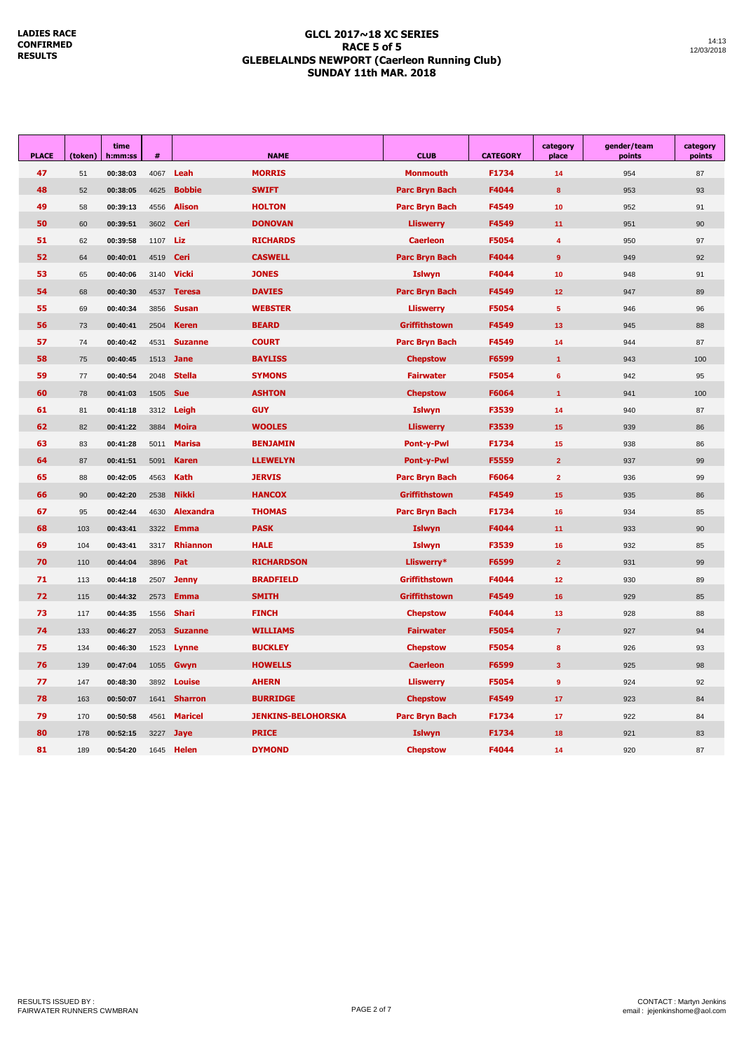#### **GLCL 2017~18 XC SERIES RACE 5 of 5 GLEBELALNDS NEWPORT (Caerleon Running Club) SUNDAY 11th MAR. 2018**

| <b>PLACE</b> | (token) | time<br>h:mm:ss | #    | <b>NAME</b>      |                                            | <b>CLUB</b>           | <b>CATEGORY</b> | category<br>place       | gender/team<br>points | category<br>points |
|--------------|---------|-----------------|------|------------------|--------------------------------------------|-----------------------|-----------------|-------------------------|-----------------------|--------------------|
| 47           | 51      | 00:38:03        | 4067 | Leah             | <b>MORRIS</b>                              | <b>Monmouth</b>       | F1734           | 14                      | 954                   | 87                 |
| 48           | 52      | 00:38:05        | 4625 | <b>Bobbie</b>    | <b>SWIFT</b>                               | <b>Parc Bryn Bach</b> | F4044           | 8                       | 953                   | 93                 |
| 49           | 58      | 00:39:13        | 4556 | <b>Alison</b>    | <b>HOLTON</b>                              | <b>Parc Bryn Bach</b> | F4549           | 10                      | 952                   | 91                 |
| 50           | 60      | 00:39:51        | 3602 | <b>Ceri</b>      | <b>DONOVAN</b>                             | <b>Lliswerry</b>      | F4549           | 11                      | 951                   | 90                 |
| 51           | 62      | 00:39:58        | 1107 | Liz              | <b>RICHARDS</b>                            | <b>Caerleon</b>       | F5054           | $\overline{4}$          | 950                   | 97                 |
| 52           | 64      | 00:40:01        | 4519 | <b>Ceri</b>      | <b>CASWELL</b>                             | <b>Parc Bryn Bach</b> | F4044           | 9                       | 949                   | 92                 |
| 53           | 65      | 00:40:06        | 3140 | <b>Vicki</b>     | <b>JONES</b>                               | <b>Islwyn</b>         | F4044           | 10                      | 948                   | 91                 |
| 54           | 68      | 00:40:30        | 4537 | <b>Teresa</b>    | <b>DAVIES</b>                              | <b>Parc Bryn Bach</b> | F4549           | 12 <sub>2</sub>         | 947                   | 89                 |
| 55           | 69      | 00:40:34        | 3856 | <b>Susan</b>     | <b>WEBSTER</b>                             | <b>Lliswerry</b>      | F5054           | $\sqrt{5}$              | 946                   | 96                 |
| 56           | 73      | 00:40:41        | 2504 | <b>Keren</b>     | <b>BEARD</b>                               | Griffithstown         | F4549           | 13                      | 945                   | 88                 |
| 57           | 74      | 00:40:42        | 4531 | <b>Suzanne</b>   | <b>COURT</b>                               | <b>Parc Bryn Bach</b> | F4549           | 14                      | 944                   | 87                 |
| 58           | 75      | 00:40:45        | 1513 | <b>Jane</b>      | <b>BAYLISS</b>                             | <b>Chepstow</b>       | F6599           | $\mathbf{1}$            | 943                   | 100                |
| 59           | 77      | 00:40:54        | 2048 | <b>Stella</b>    | <b>SYMONS</b>                              | <b>Fairwater</b>      | F5054           | 6                       | 942                   | 95                 |
| 60           | 78      | 00:41:03        | 1505 | <b>Sue</b>       | <b>ASHTON</b>                              | <b>Chepstow</b>       | F6064           | $\overline{1}$          | 941                   | 100                |
| 61           | 81      | 00:41:18        | 3312 | Leigh            | <b>GUY</b>                                 | Islwyn                | F3539           | 14                      | 940                   | 87                 |
| 62           | 82      | 00:41:22        | 3884 | <b>Moira</b>     | <b>WOOLES</b><br><b>Lliswerry</b><br>F3539 |                       |                 | 15                      | 939                   | 86                 |
| 63           | 83      | 00:41:28        | 5011 | <b>Marisa</b>    | <b>BENJAMIN</b>                            | <b>Pont-y-Pwl</b>     | F1734           | 15                      | 938                   | 86                 |
| 64           | 87      | 00:41:51        | 5091 | <b>Karen</b>     | <b>LLEWELYN</b>                            | <b>Pont-y-Pwl</b>     | F5559           | $\overline{2}$          | 937                   | 99                 |
| 65           | 88      | 00:42:05        | 4563 | <b>Kath</b>      | <b>JERVIS</b>                              | Parc Bryn Bach        | F6064           | $\overline{2}$          | 936                   | 99                 |
| 66           | 90      | 00:42:20        | 2538 | <b>Nikki</b>     | <b>HANCOX</b>                              | <b>Griffithstown</b>  | F4549           | 15                      | 935                   | 86                 |
| 67           | 95      | 00:42:44        | 4630 | <b>Alexandra</b> | <b>THOMAS</b>                              | <b>Parc Bryn Bach</b> | F1734           | 16                      | 934                   | 85                 |
| 68           | 103     | 00:43:41        | 3322 | <b>Emma</b>      | <b>PASK</b>                                | <b>Islwyn</b>         | F4044           | 11                      | 933                   | 90                 |
| 69           | 104     | 00:43:41        | 3317 | <b>Rhiannon</b>  | <b>HALE</b>                                | <b>Islwyn</b>         | F3539           | 16                      | 932                   | 85                 |
| 70           | 110     | 00:44:04        | 3896 | Pat              | <b>RICHARDSON</b>                          | Lliswerry*            | F6599           | $\overline{2}$          | 931                   | 99                 |
| 71           | 113     | 00:44:18        | 2507 | <b>Jenny</b>     | <b>BRADFIELD</b>                           | <b>Griffithstown</b>  | F4044           | 12                      | 930                   | 89                 |
| 72           | 115     | 00:44:32        | 2573 | <b>Emma</b>      | <b>SMITH</b>                               | Griffithstown         | F4549           | 16                      | 929                   | 85                 |
| 73           | 117     | 00:44:35        | 1556 | <b>Shari</b>     | <b>FINCH</b>                               | <b>Chepstow</b>       | F4044           | 13                      | 928                   | 88                 |
| 74           | 133     | 00:46:27        | 2053 | <b>Suzanne</b>   | <b>WILLIAMS</b>                            | <b>Fairwater</b>      | F5054           | $\overline{7}$          | 927                   | 94                 |
| 75           | 134     | 00:46:30        | 1523 | Lynne            | <b>BUCKLEY</b>                             | <b>Chepstow</b>       | F5054           | 8                       | 926                   | 93                 |
| 76           | 139     | 00:47:04        | 1055 | Gwyn             | <b>HOWELLS</b>                             | <b>Caerleon</b>       | F6599           | $\overline{\mathbf{3}}$ | 925                   | 98                 |
| 77           | 147     | 00:48:30        | 3892 | <b>Louise</b>    | <b>AHERN</b>                               | <b>Lliswerry</b>      | F5054           | 9                       | 924                   | 92                 |
| 78           | 163     | 00:50:07        | 1641 | <b>Sharron</b>   | <b>BURRIDGE</b>                            | <b>Chepstow</b>       | F4549           | 17                      | 923                   | 84                 |
| 79           | 170     | 00:50:58        | 4561 | <b>Maricel</b>   | <b>JENKINS-BELOHORSKA</b>                  | <b>Parc Bryn Bach</b> | F1734           | 17                      | 922                   | 84                 |
| 80           | 178     | 00:52:15        | 3227 | <b>Jaye</b>      | <b>PRICE</b>                               | <b>Islwyn</b>         | F1734           | 18                      | 921                   | 83                 |
| 81           | 189     | 00:54:20        | 1645 | <b>Helen</b>     | <b>DYMOND</b>                              | <b>Chepstow</b>       | F4044           | 14                      | 920                   | 87                 |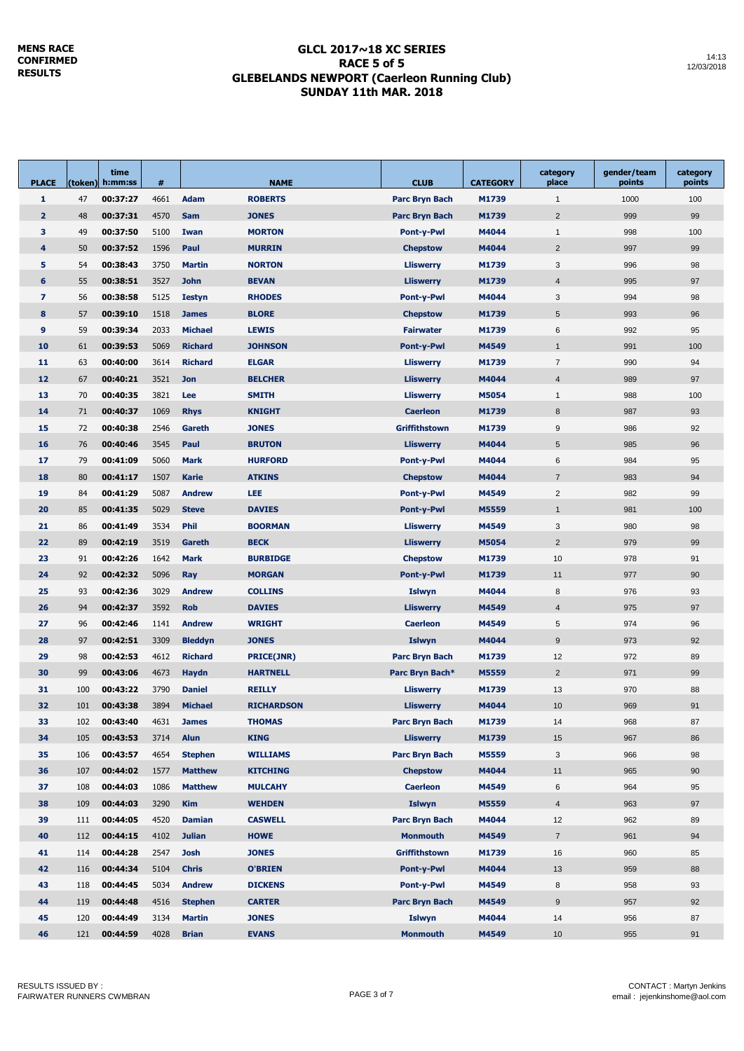#### **GLCL 2017~18 XC SERIES RACE 5 of 5 GLEBELANDS NEWPORT (Caerleon Running Club) SUNDAY 11th MAR. 2018**

| <b>PLACE</b>   |     | time<br>(token)  h:mm:ss | #    | <b>NAME</b>    |                   | <b>CLUB</b>                | <b>CATEGORY</b> | category<br>place | gender/team<br>points | category<br>points |  |
|----------------|-----|--------------------------|------|----------------|-------------------|----------------------------|-----------------|-------------------|-----------------------|--------------------|--|
| 1              | 47  | 00:37:27                 | 4661 | <b>Adam</b>    | <b>ROBERTS</b>    | <b>Parc Bryn Bach</b>      | M1739           | $\mathbf{1}$      | 1000                  | 100                |  |
| $\overline{2}$ | 48  | 00:37:31                 | 4570 | <b>Sam</b>     | <b>JONES</b>      | <b>Parc Bryn Bach</b>      | M1739           | $\overline{2}$    | 999                   | 99                 |  |
| 3              | 49  | 00:37:50                 | 5100 | Iwan           | <b>MORTON</b>     | <b>Pont-y-Pwl</b>          | M4044           | $\mathbf{1}$      | 998                   | 100                |  |
| 4              | 50  | 00:37:52                 | 1596 | Paul           | <b>MURRIN</b>     | <b>Chepstow</b>            | M4044           | $\overline{2}$    | 997                   | 99                 |  |
| 5              | 54  | 00:38:43                 | 3750 | <b>Martin</b>  | <b>NORTON</b>     | <b>Lliswerry</b>           | M1739           | 3                 | 996                   | 98                 |  |
| 6              | 55  | 00:38:51                 | 3527 | <b>John</b>    | <b>BEVAN</b>      | <b>Lliswerry</b>           | M1739           | $\overline{4}$    | 995                   | 97                 |  |
| $\overline{ }$ | 56  | 00:38:58                 | 5125 | <b>Iestyn</b>  | <b>RHODES</b>     | <b>Pont-y-Pwl</b>          | M4044           | 3                 | 994                   | 98                 |  |
| 8              | 57  | 00:39:10                 | 1518 | <b>James</b>   | <b>BLORE</b>      | <b>Chepstow</b>            | M1739           | 5                 | 993                   | 96                 |  |
| 9              | 59  | 00:39:34                 | 2033 | <b>Michael</b> | <b>LEWIS</b>      | <b>Fairwater</b>           | M1739           | 6                 | 992                   | 95                 |  |
| 10             | 61  | 00:39:53                 | 5069 | <b>Richard</b> | <b>JOHNSON</b>    | <b>Pont-y-Pwl</b>          | M4549           | $\mathbf{1}$      | 991                   | 100                |  |
| 11             | 63  | 00:40:00                 | 3614 | <b>Richard</b> | <b>ELGAR</b>      | <b>Lliswerry</b>           | M1739           | $\overline{7}$    | 990                   | 94                 |  |
| 12             | 67  | 00:40:21                 | 3521 | <b>Jon</b>     | <b>BELCHER</b>    | <b>Lliswerry</b>           | M4044           | $\overline{4}$    | 989                   | 97                 |  |
| 13             | 70  | 00:40:35                 | 3821 | Lee            | <b>SMITH</b>      | <b>Lliswerry</b>           | M5054           | $\mathbf{1}$      | 988                   | 100                |  |
| 14             | 71  | 00:40:37                 | 1069 | <b>Rhys</b>    | <b>KNIGHT</b>     | <b>Caerleon</b>            | M1739           | 8                 | 987                   | 93                 |  |
| 15             | 72  | 00:40:38                 | 2546 | Gareth         | <b>JONES</b>      | <b>Griffithstown</b>       | M1739           | $9\,$             | 986                   | 92                 |  |
| 16             | 76  | 00:40:46                 | 3545 | Paul           | <b>BRUTON</b>     | <b>Lliswerry</b>           | M4044           | 5                 | 985                   | 96                 |  |
| 17             | 79  | 00:41:09                 | 5060 | <b>Mark</b>    | <b>HURFORD</b>    | <b>Pont-y-Pwl</b>          | M4044           | 6                 | 984                   | 95                 |  |
| 18             | 80  | 00:41:17                 | 1507 | <b>Karie</b>   | <b>ATKINS</b>     | <b>Chepstow</b>            | M4044           | $\overline{7}$    | 983                   | 94                 |  |
| 19             | 84  | 00:41:29                 | 5087 | <b>Andrew</b>  | LEE               | <b>Pont-y-Pwl</b>          | M4549           | $\overline{2}$    | 982                   | 99                 |  |
| 20             | 85  | 00:41:35                 | 5029 | <b>Steve</b>   | <b>DAVIES</b>     |                            |                 | $\mathbf{1}$      | 981                   | 100                |  |
| 21             | 86  | 00:41:49                 | 3534 | <b>Phil</b>    | <b>BOORMAN</b>    | M5559<br><b>Pont-y-Pwl</b> |                 | 3                 |                       | 98                 |  |
| 22             | 89  | 00:42:19                 | 3519 | Gareth         | <b>BECK</b>       | M4549<br><b>Lliswerry</b>  |                 | $\overline{2}$    | 980<br>979            |                    |  |
|                |     |                          |      |                |                   | <b>Lliswerry</b>           | M5054           |                   |                       | 99                 |  |
| 23             | 91  | 00:42:26                 | 1642 | <b>Mark</b>    | <b>BURBIDGE</b>   | <b>Chepstow</b>            | M1739           | 10                | 978                   | 91                 |  |
| 24             | 92  | 00:42:32                 | 5096 | Ray            | <b>MORGAN</b>     | <b>Pont-y-Pwl</b>          | M1739           | 11                | 977                   | 90                 |  |
| 25             | 93  | 00:42:36                 | 3029 | <b>Andrew</b>  | <b>COLLINS</b>    | <b>Islwyn</b>              | M4044           | 8                 | 976                   | 93                 |  |
| 26             | 94  | 00:42:37                 | 3592 | <b>Rob</b>     | <b>DAVIES</b>     | <b>Lliswerry</b>           | M4549           | 4                 | 975                   | 97                 |  |
| 27             | 96  | 00:42:46                 | 1141 | <b>Andrew</b>  | <b>WRIGHT</b>     | <b>Caerleon</b>            | M4549           | 5                 | 974                   | 96                 |  |
| 28             | 97  | 00:42:51                 | 3309 | <b>Bleddyn</b> | <b>JONES</b>      | <b>Islwyn</b>              | M4044           | 9                 | 973                   | 92                 |  |
| 29             | 98  | 00:42:53                 | 4612 | <b>Richard</b> | <b>PRICE(JNR)</b> | Parc Bryn Bach             | M1739           | 12                | 972                   | 89                 |  |
| 30             | 99  | 00:43:06                 | 4673 | <b>Haydn</b>   | <b>HARTNELL</b>   | Parc Bryn Bach*            | M5559           | $\overline{2}$    | 971                   | 99                 |  |
| 31             | 100 | 00:43:22                 | 3790 | <b>Daniel</b>  | <b>REILLY</b>     | <b>Lliswerry</b>           | M1739           | 13                | 970                   | 88                 |  |
| 32             | 101 | 00:43:38                 | 3894 | <b>Michael</b> | <b>RICHARDSON</b> | <b>Lliswerry</b>           | M4044           | 10                | 969                   | 91                 |  |
| 33             | 102 | 00:43:40                 | 4631 | <b>James</b>   | <b>THOMAS</b>     | Parc Bryn Bach             | M1739           | 14                | 968                   | 87                 |  |
| 34             | 105 | 00:43:53                 | 3714 | <b>Alun</b>    | <b>KING</b>       | <b>Lliswerry</b>           | M1739           | 15                | 967                   | 86                 |  |
| 35             | 106 | 00:43:57                 | 4654 | <b>Stephen</b> | <b>WILLIAMS</b>   | Parc Bryn Bach             | M5559           | 3                 | 966                   | 98                 |  |
| 36             | 107 | 00:44:02                 | 1577 | <b>Matthew</b> | <b>KITCHING</b>   | <b>Chepstow</b>            | M4044           | 11                | 965                   | 90                 |  |
| 37             | 108 | 00:44:03                 | 1086 | <b>Matthew</b> | <b>MULCAHY</b>    | <b>Caerleon</b>            | M4549           | 6                 | 964                   | 95                 |  |
| 38             | 109 | 00:44:03                 | 3290 | <b>Kim</b>     | <b>WEHDEN</b>     | <b>Islwyn</b>              | M5559           | $\overline{4}$    | 963                   | 97                 |  |
| 39             | 111 | 00:44:05                 | 4520 | <b>Damian</b>  | <b>CASWELL</b>    | Parc Bryn Bach             | M4044           | 12                | 962                   | 89                 |  |
| 40             | 112 | 00:44:15                 | 4102 | <b>Julian</b>  | <b>HOWE</b>       | <b>Monmouth</b>            | M4549           | $\overline{7}$    | 961                   | $94\,$             |  |
| 41             | 114 | 00:44:28                 | 2547 | <b>Josh</b>    | <b>JONES</b>      | <b>Griffithstown</b>       | M1739           | 16                | 960                   | 85                 |  |
| 42             | 116 | 00:44:34                 | 5104 | <b>Chris</b>   | <b>O'BRIEN</b>    | Pont-y-Pwl                 | M4044           | 13                | 959                   | 88                 |  |
| 43             | 118 | 00:44:45                 | 5034 | <b>Andrew</b>  | <b>DICKENS</b>    | Pont-y-Pwl                 | M4549           | 8                 | 958                   | 93                 |  |
| 44             | 119 | 00:44:48                 | 4516 | <b>Stephen</b> | <b>CARTER</b>     | Parc Bryn Bach             | M4549           | $\mathsf g$       | 957                   | 92                 |  |
| 45             | 120 | 00:44:49                 | 3134 | <b>Martin</b>  | <b>JONES</b>      | <b>Islwyn</b>              | M4044           | 14                | 956                   | 87                 |  |
| 46             | 121 | 00:44:59                 | 4028 | <b>Brian</b>   | <b>EVANS</b>      | <b>Monmouth</b>            | M4549           | 10 <sup>°</sup>   | 955                   | 91                 |  |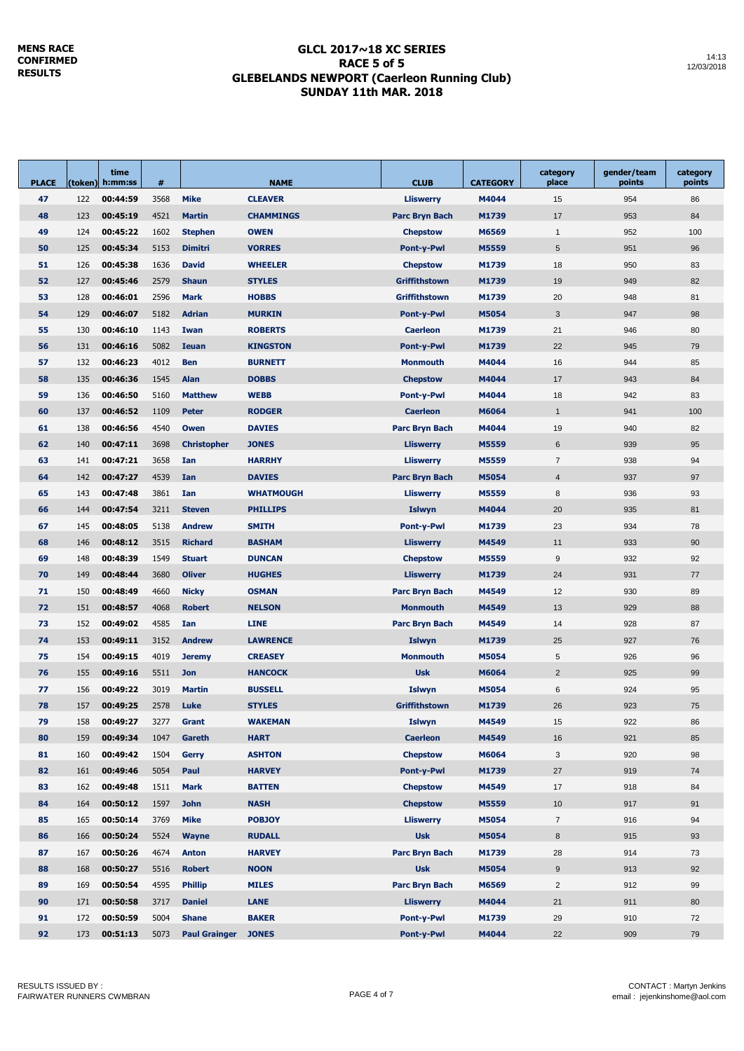### **GLCL 2017~18 XC SERIES RACE 5 of 5 GLEBELANDS NEWPORT (Caerleon Running Club) SUNDAY 11th MAR. 2018**

| <b>PLACE</b> |     | time<br>(token) h:mm:ss | #    | <b>NAME</b>          |                  | <b>CLUB</b>                | <b>CATEGORY</b> | category<br>place | gender/team<br>points | category<br>points |
|--------------|-----|-------------------------|------|----------------------|------------------|----------------------------|-----------------|-------------------|-----------------------|--------------------|
| 47           | 122 | 00:44:59                | 3568 | <b>Mike</b>          | <b>CLEAVER</b>   | <b>Lliswerry</b>           | M4044           | 15                | 954                   | 86                 |
| 48           | 123 | 00:45:19                | 4521 | <b>Martin</b>        | <b>CHAMMINGS</b> | Parc Bryn Bach             | M1739           | 17                | 953                   | 84                 |
| 49           | 124 | 00:45:22                | 1602 | <b>Stephen</b>       | <b>OWEN</b>      | <b>Chepstow</b>            | M6569           | $\mathbf{1}$      | 952                   | 100                |
| 50           | 125 | 00:45:34                | 5153 | <b>Dimitri</b>       | <b>VORRES</b>    | <b>Pont-y-Pwl</b>          | M5559           | 5                 | 951                   | 96                 |
| 51           | 126 | 00:45:38                | 1636 | <b>David</b>         | <b>WHEELER</b>   | <b>Chepstow</b>            | M1739           | 18                | 950                   | 83                 |
| 52           | 127 | 00:45:46                | 2579 | <b>Shaun</b>         | <b>STYLES</b>    | <b>Griffithstown</b>       | M1739           | 19                | 949                   | 82                 |
| 53           | 128 | 00:46:01                | 2596 | <b>Mark</b>          | <b>HOBBS</b>     | Griffithstown              | M1739           | 20                | 948                   | 81                 |
| 54           | 129 | 00:46:07                | 5182 | <b>Adrian</b>        | <b>MURKIN</b>    | <b>Pont-y-Pwl</b>          | M5054           | 3                 | 947                   | 98                 |
| 55           | 130 | 00:46:10                | 1143 | Iwan                 | <b>ROBERTS</b>   | <b>Caerleon</b><br>M1739   |                 | 21                | 946                   | 80                 |
| 56           | 131 | 00:46:16                | 5082 | <b>Ieuan</b>         | <b>KINGSTON</b>  | <b>Pont-y-Pwl</b><br>M1739 |                 | 22                | 945                   | 79                 |
| 57           | 132 | 00:46:23                | 4012 | <b>Ben</b>           | <b>BURNETT</b>   | <b>Monmouth</b><br>M4044   |                 | 16                | 944                   | 85                 |
| 58           | 135 | 00:46:36                | 1545 | Alan                 | <b>DOBBS</b>     | <b>Chepstow</b>            | M4044           | 17                | 943                   | 84                 |
| 59           | 136 | 00:46:50                | 5160 | <b>Matthew</b>       | <b>WEBB</b>      | Pont-y-Pwl                 | M4044           | 18                | 942                   | 83                 |
| 60           | 137 | 00:46:52                | 1109 | <b>Peter</b>         | <b>RODGER</b>    | <b>Caerleon</b><br>M6064   |                 | $\mathbf{1}$      | 941                   | 100                |
| 61           | 138 | 00:46:56                | 4540 | Owen                 | <b>DAVIES</b>    | <b>Parc Bryn Bach</b>      | M4044           | 19                | 940                   | 82                 |
| 62           | 140 | 00:47:11                | 3698 | <b>Christopher</b>   | <b>JONES</b>     | <b>Lliswerry</b>           | M5559           | 6                 | 939                   | 95                 |
| 63           | 141 | 00:47:21                | 3658 | Ian                  | <b>HARRHY</b>    | <b>Lliswerry</b>           | M5559           | $\overline{7}$    | 938                   | 94                 |
| 64           | 142 | 00:47:27                | 4539 | Ian                  | <b>DAVIES</b>    | Parc Bryn Bach             | M5054           | $\overline{4}$    | 937                   | 97                 |
| 65           | 143 | 00:47:48                | 3861 | Ian                  | <b>WHATMOUGH</b> | <b>Lliswerry</b>           | M5559           | 8                 | 936                   | 93                 |
| 66           | 144 | 00:47:54                | 3211 | <b>Steven</b>        | <b>PHILLIPS</b>  | <b>Islwyn</b>              | M4044           | 20                | 935                   | 81                 |
| 67           | 145 | 00:48:05                | 5138 | <b>Andrew</b>        | <b>SMITH</b>     | <b>Pont-y-Pwl</b>          | M1739           | 23                | 934                   | 78                 |
| 68           | 146 | 00:48:12                | 3515 | <b>Richard</b>       | <b>BASHAM</b>    | <b>Lliswerry</b>           | M4549           | 11                | 933                   | 90                 |
| 69           | 148 | 00:48:39                | 1549 | <b>Stuart</b>        | <b>DUNCAN</b>    | <b>Chepstow</b>            | M5559           | 9                 | 932                   | 92                 |
| 70           | 149 | 00:48:44                | 3680 | <b>Oliver</b>        | <b>HUGHES</b>    | <b>Lliswerry</b>           | M1739           | 24                | 931                   | 77                 |
| 71           | 150 | 00:48:49                | 4660 | <b>Nicky</b>         | <b>OSMAN</b>     | Parc Bryn Bach             | M4549           | 12                | 930                   | 89                 |
| 72           | 151 | 00:48:57                | 4068 | <b>Robert</b>        | <b>NELSON</b>    | Monmouth                   | M4549           | 13                | 929                   | 88                 |
| 73           | 152 | 00:49:02                | 4585 | Ian                  | <b>LINE</b>      | Parc Bryn Bach             | M4549           | 14                | 928                   | 87                 |
| 74           | 153 | 00:49:11                | 3152 | <b>Andrew</b>        | <b>LAWRENCE</b>  | <b>Islwyn</b>              | M1739           | 25                | 927                   | 76                 |
| 75           | 154 | 00:49:15                | 4019 | <b>Jeremy</b>        | <b>CREASEY</b>   | <b>Monmouth</b>            | M5054           | 5                 | 926                   | 96                 |
| 76           | 155 | 00:49:16                | 5511 | <b>Jon</b>           | <b>HANCOCK</b>   | <b>Usk</b>                 | M6064           | $\overline{2}$    | 925                   | 99                 |
| 77           | 156 | 00:49:22                | 3019 | <b>Martin</b>        | <b>BUSSELL</b>   | <b>Islwyn</b>              | M5054           | 6                 | 924                   | 95                 |
| 78           | 157 | 00:49:25                | 2578 | Luke                 | <b>STYLES</b>    | <b>Griffithstown</b>       | M1739           | 26                | 923                   | 75                 |
| 79           | 158 | 00:49:27                | 3277 | Grant                | <b>WAKEMAN</b>   | Islwyn                     | M4549           | 15                | 922                   | 86                 |
| 80           | 159 | 00:49:34                | 1047 | Gareth               | <b>HART</b>      | <b>Caerleon</b>            | M4549           | 16                | 921                   | 85                 |
| 81           | 160 | 00:49:42                | 1504 | <b>Gerry</b>         | <b>ASHTON</b>    | <b>Chepstow</b>            | M6064           | 3                 | 920                   | 98                 |
| 82           | 161 | 00:49:46                | 5054 | Paul                 | <b>HARVEY</b>    | Pont-y-Pwl                 | M1739           | 27                | 919                   | 74                 |
| 83           | 162 | 00:49:48                | 1511 | <b>Mark</b>          | <b>BATTEN</b>    | <b>Chepstow</b>            | M4549           | 17                | 918                   | 84                 |
| 84           | 164 | 00:50:12                | 1597 | <b>John</b>          | <b>NASH</b>      | <b>Chepstow</b>            | M5559           | 10                | 917                   | 91                 |
| 85           | 165 | 00:50:14                | 3769 | <b>Mike</b>          | <b>POBJOY</b>    | <b>Lliswerry</b>           | M5054           | $\overline{7}$    | 916                   | 94                 |
| 86           | 166 | 00:50:24                | 5524 | <b>Wayne</b>         | <b>RUDALL</b>    | <b>Usk</b>                 | M5054           | 8                 | 915                   | 93                 |
| 87           | 167 | 00:50:26                | 4674 | <b>Anton</b>         | <b>HARVEY</b>    | <b>Parc Bryn Bach</b>      | M1739           | 28                | 914                   | 73                 |
| 88           | 168 | 00:50:27                | 5516 | <b>Robert</b>        | <b>NOON</b>      | <b>Usk</b>                 | M5054           | 9                 | 913                   | 92                 |
| 89           | 169 | 00:50:54                | 4595 | <b>Phillip</b>       | <b>MILES</b>     | Parc Bryn Bach             | M6569           | $\overline{2}$    | 912                   | 99                 |
| 90           | 171 | 00:50:58                | 3717 | <b>Daniel</b>        | <b>LANE</b>      | <b>Lliswerry</b>           | M4044           | 21                | 911                   | 80                 |
| 91           | 172 | 00:50:59                | 5004 | <b>Shane</b>         | <b>BAKER</b>     | Pont-y-Pwl                 | M1739           | 29                | 910                   | 72                 |
| 92           | 173 | 00:51:13                | 5073 | <b>Paul Grainger</b> | <b>JONES</b>     | Pont-y-Pwl                 | M4044           | 22                | 909                   | 79                 |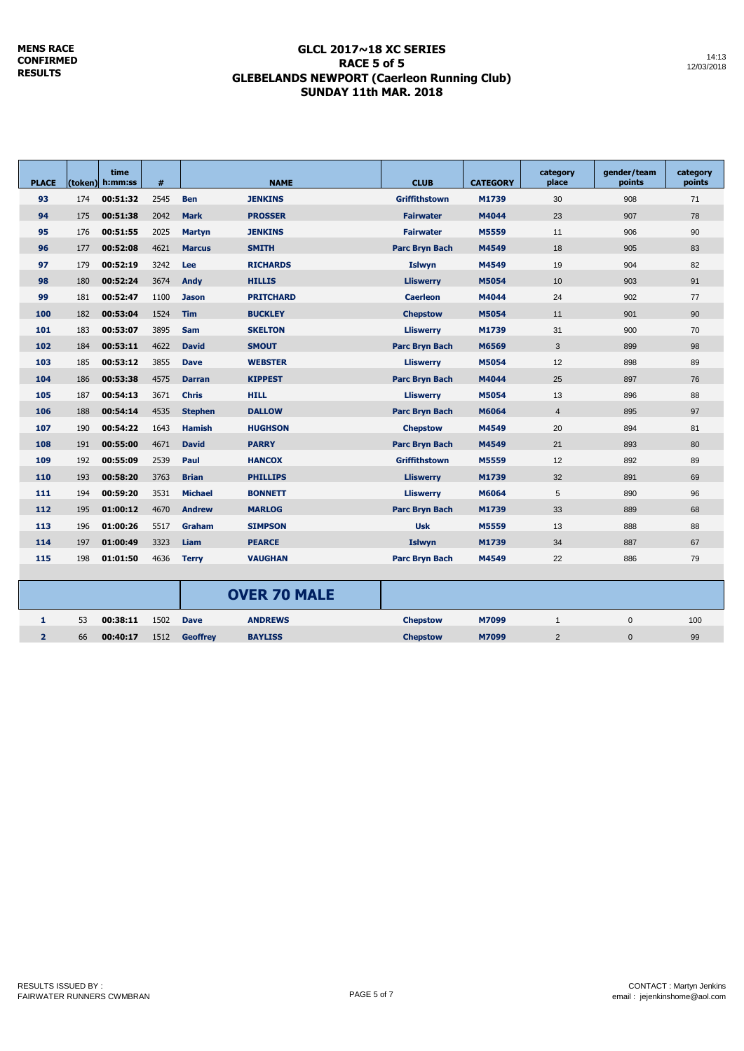### **GLCL 2017~18 XC SERIES RACE 5 of 5 GLEBELANDS NEWPORT (Caerleon Running Club) SUNDAY 11th MAR. 2018**

| <b>PLACE</b>   |     | time<br>(token) h:mm:ss | $\pmb{\#}$ | <b>NAME</b>     |                     | <b>CLUB</b>           | <b>CATEGORY</b> | category<br>place | gender/team<br>points | category<br>points |
|----------------|-----|-------------------------|------------|-----------------|---------------------|-----------------------|-----------------|-------------------|-----------------------|--------------------|
| 93             | 174 | 00:51:32                | 2545       | <b>Ben</b>      | <b>JENKINS</b>      | <b>Griffithstown</b>  | M1739           | 30                | 908                   | 71                 |
| 94             | 175 | 00:51:38                | 2042       | <b>Mark</b>     | <b>PROSSER</b>      | <b>Fairwater</b>      | M4044           | 23                | 907                   | 78                 |
| 95             | 176 | 00:51:55                | 2025       | <b>Martyn</b>   | <b>JENKINS</b>      | <b>Fairwater</b>      | M5559           | 11                | 906                   | 90                 |
| 96             | 177 | 00:52:08                | 4621       | <b>Marcus</b>   | <b>SMITH</b>        | <b>Parc Brvn Bach</b> | M4549           | 18                | 905                   | 83                 |
| 97             | 179 | 00:52:19                | 3242       | Lee             | <b>RICHARDS</b>     | <b>Islwyn</b>         | M4549           | 19                | 904                   | 82                 |
| 98             | 180 | 00:52:24                | 3674       | Andy            | <b>HILLIS</b>       | <b>Lliswerry</b>      | <b>M5054</b>    | 10                | 903                   | 91                 |
| 99             | 181 | 00:52:47                | 1100       | <b>Jason</b>    | <b>PRITCHARD</b>    | <b>Caerleon</b>       | M4044           | 24                | 902                   | 77                 |
| 100            | 182 | 00:53:04                | 1524       | <b>Tim</b>      | <b>BUCKLEY</b>      | <b>Chepstow</b>       | M5054           | 11                | 901                   | 90                 |
| 101            | 183 | 00:53:07                | 3895       | <b>Sam</b>      | <b>SKELTON</b>      | <b>Lliswerry</b>      | M1739           | 31                | 900                   | 70                 |
| 102            | 184 | 00:53:11                | 4622       | <b>David</b>    | <b>SMOUT</b>        | <b>Parc Bryn Bach</b> | M6569           | 3                 | 899                   | 98                 |
| 103            | 185 | 00:53:12                | 3855       | <b>Dave</b>     | <b>WEBSTER</b>      | <b>Lliswerry</b>      | M5054           | 12                | 898                   | 89                 |
| 104            | 186 | 00:53:38                | 4575       | <b>Darran</b>   | <b>KIPPEST</b>      | <b>Parc Bryn Bach</b> | M4044           |                   | 897                   | 76                 |
| 105            | 187 | 00:54:13                | 3671       | <b>Chris</b>    | <b>HILL</b>         | <b>Lliswerry</b>      | M5054           |                   | 896                   | 88                 |
| 106            | 188 | 00:54:14                | 4535       | <b>Stephen</b>  | <b>DALLOW</b>       | <b>Parc Bryn Bach</b> | M6064           | $\overline{4}$    | 895                   | 97                 |
| 107            | 190 | 00:54:22                | 1643       | <b>Hamish</b>   | <b>HUGHSON</b>      | <b>Chepstow</b>       | M4549           | 20                | 894                   | 81                 |
| 108            | 191 | 00:55:00                | 4671       | <b>David</b>    | <b>PARRY</b>        | <b>Parc Bryn Bach</b> | M4549           | 21                | 893                   | 80                 |
| 109            | 192 | 00:55:09                | 2539       | Paul            | <b>HANCOX</b>       | <b>Griffithstown</b>  | M5559           | 12                | 892                   | 89                 |
| 110            | 193 | 00:58:20                | 3763       | <b>Brian</b>    | <b>PHILLIPS</b>     | <b>Lliswerry</b>      | M1739           | 32                | 891                   | 69                 |
| 111            | 194 | 00:59:20                | 3531       | <b>Michael</b>  | <b>BONNETT</b>      | <b>Lliswerry</b>      | M6064           | 5                 | 890                   | 96                 |
| 112            | 195 | 01:00:12                | 4670       | <b>Andrew</b>   | <b>MARLOG</b>       | <b>Parc Bryn Bach</b> | M1739           | 33                | 889                   | 68                 |
| 113            | 196 | 01:00:26                | 5517       | Graham          | <b>SIMPSON</b>      | <b>Usk</b>            | M5559           | 13                | 888                   | 88                 |
| 114            | 197 | 01:00:49                | 3323       | Liam            | <b>PEARCE</b>       | <b>Islwyn</b>         | M1739           | 34                | 887                   | 67                 |
| 115            | 198 | 01:01:50                | 4636       | <b>Terry</b>    | <b>VAUGHAN</b>      | <b>Parc Bryn Bach</b> | M4549           | 22                | 886                   | 79                 |
|                |     |                         |            |                 |                     |                       |                 |                   |                       |                    |
|                |     |                         |            |                 | <b>OVER 70 MALE</b> |                       |                 |                   |                       |                    |
| 1              | 53  | 00:38:11                | 1502       | <b>Dave</b>     | <b>ANDREWS</b>      | <b>Chepstow</b>       | M7099           | $\mathbf{1}$      | $\mathbf 0$           | 100                |
| $\overline{2}$ | 66  | 00:40:17                | 1512       | <b>Geoffrey</b> | <b>BAYLISS</b>      | <b>Chepstow</b>       | M7099           | 2                 | $\Omega$              | 99                 |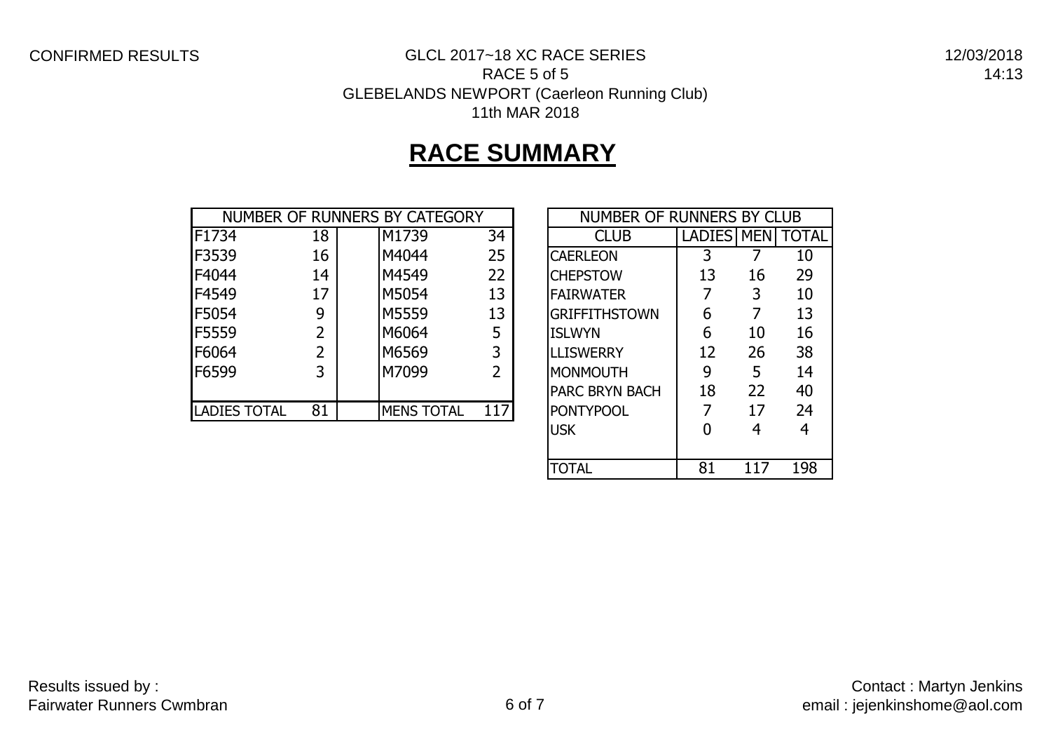## CONFIRMED RESULTS GLCL 2017~18 XC RACE SERIES

12/03/2018 14:13

### RACE 5 of 5 GLEBELANDS NEWPORT (Caerleon Running Club) 11th MAR 2018

# **RACE SUMMARY**

|                     |    | NUMBER OF RUNNERS BY CATEGORY | NUMBER OF RUNNERS BY CLUB |                       |            |    |              |
|---------------------|----|-------------------------------|---------------------------|-----------------------|------------|----|--------------|
| F1734               | 18 | M1739                         | 34                        | <b>CLUB</b>           | LADIES MEN |    | <b>TOTAL</b> |
| F3539               | 16 | M4044                         | 25                        | <b>CAERLEON</b>       |            |    | 10           |
| F4044               | 14 | M4549                         | 22                        | <b>CHEPSTOW</b>       | 13         | 16 | 29           |
| F4549               | 17 | M5054                         | 13                        | <b>FAIRWATER</b>      |            | 3  | 10           |
| F5054               | 9  | M5559                         | 13                        | <b>GRIFFITHSTOWN</b>  | 6          |    | 13           |
| <b>F5559</b>        |    | M6064                         | 5                         | <b>ISLWYN</b>         | 6          | 10 | 16           |
| F6064               |    | M6569                         | 3                         | <b>LLISWERRY</b>      | 12         | 26 | 38           |
| F6599               | 3  | M7099                         | 2                         | <b>MONMOUTH</b>       | 9          | 5  | 14           |
|                     |    |                               |                           | <b>PARC BRYN BACH</b> | 18         | 22 | 40           |
| <b>LADIES TOTAL</b> | 81 | <b>MENS TOTAL</b>             | 117                       | <b>PONTYPOOL</b>      |            | 17 | 24           |

| NUMBER OF RUNNERS BY CLUB |            |    |              |  |  |  |  |  |  |
|---------------------------|------------|----|--------------|--|--|--|--|--|--|
| <b>CLUB</b>               | LADIES MEN |    | <b>TOTAL</b> |  |  |  |  |  |  |
| <b>CAERLEON</b>           | 3          |    | 10           |  |  |  |  |  |  |
| <b>CHEPSTOW</b>           | 13         | 16 | 29           |  |  |  |  |  |  |
| <b>FAIRWATER</b>          | 7          | 3  | 10           |  |  |  |  |  |  |
| <b>GRIFFITHSTOWN</b>      | 6          | 7  | 13           |  |  |  |  |  |  |
| <b>ISLWYN</b>             | 6          | 10 | 16           |  |  |  |  |  |  |
| <b>LLISWERRY</b>          | 12         | 26 | 38           |  |  |  |  |  |  |
| <b>MONMOUTH</b>           | 9          | 5  | 14           |  |  |  |  |  |  |
| <b>PARC BRYN BACH</b>     | 18         | 22 | 40           |  |  |  |  |  |  |
| <b>PONTYPOOL</b>          | 7          | 17 | 24           |  |  |  |  |  |  |
| <b>USK</b>                | O          | 4  | 4            |  |  |  |  |  |  |
|                           |            |    |              |  |  |  |  |  |  |
| TOTAL                     | 81         |    | 198          |  |  |  |  |  |  |